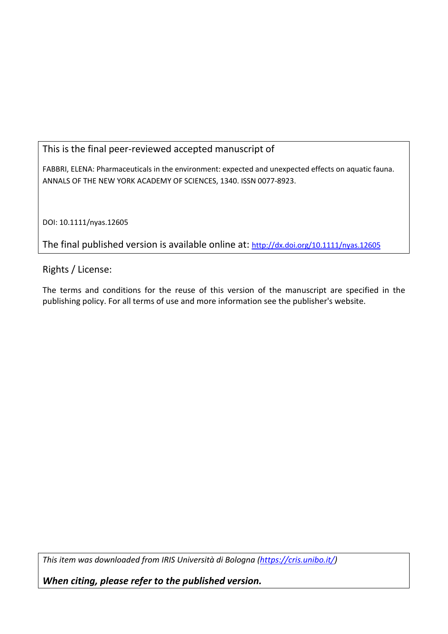## This is the final peer-reviewed accepted manuscript of

FABBRI, ELENA: Pharmaceuticals in the environment: expected and unexpected effects on aquatic fauna. ANNALS OF THE NEW YORK ACADEMY OF SCIENCES, 1340. ISSN 0077-8923.

DOI: 10.1111/nyas.12605

The final published version is available online at: [http://dx.doi.org/10.1111/nyas.12605](http://dx.doi.org/10.1111%2Fnyas.12605)

Rights / License:

The terms and conditions for the reuse of this version of the manuscript are specified in the publishing policy. For all terms of use and more information see the publisher's website.

*This item was downloaded from IRIS Università di Bologna [\(https://cris.unibo.it/\)](https://cris.unibo.it/)*

*When citing, please refer to the published version.*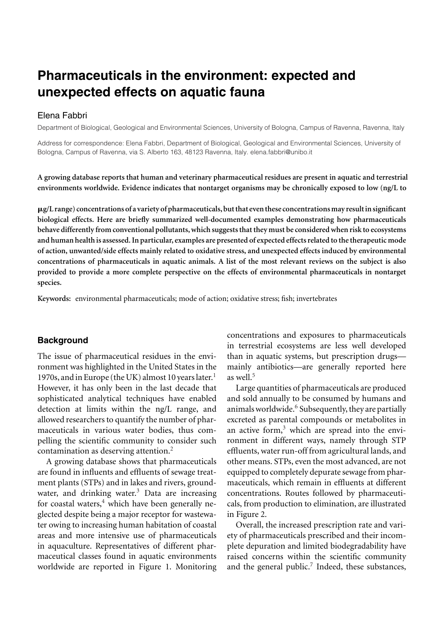# **Pharmaceuticals in the environment: expected and unexpected effects on aquatic fauna**

#### Elena Fabbri

Department of Biological, Geological and Environmental Sciences, University of Bologna, Campus of Ravenna, Ravenna, Italy

Address for correspondence: Elena Fabbri, Department of Biological, Geological and Environmental Sciences, University of Bologna, Campus of Ravenna, via S. Alberto 163, 48123 Ravenna, Italy. elena.fabbri@unibo.it

A growing database reports that human and veterinary pharmaceutical residues are present in aquatic and terrestrial **environments worldwide. Evidence indicates that nontarget organisms may be chronically exposed to low (ng/L to**

-**g/L range) concentrations of a variety of pharmaceuticals, but that even these concentrationsmay resultin significant biological effects. Here are briefly summarized well-documented examples demonstrating how pharmaceuticals behave differently from conventional pollutants, which suggests that they must be considered when risk to ecosystems and human health is assessed. In particular, examples are presented of expected effects related to the therapeutic mode of action, unwanted/side effects mainly related to oxidative stress, and unexpected effects induced by environmental concentrations of pharmaceuticals in aquatic animals. A list of the most relevant reviews on the subject is also provided to provide a more complete perspective on the effects of environmental pharmaceuticals in nontarget species.**

**Keywords:** environmental pharmaceuticals; mode of action; oxidative stress; fish; invertebrates

#### **Background**

The issue of pharmaceutical residues in the environment was highlighted in the United States in the 1970s, and in Europe (the UK) almost 10 years later.<sup>1</sup> However, it has only been in the last decade that sophisticated analytical techniques have enabled detection at limits within the ng/L range, and allowed researchers to quantify the number of pharmaceuticals in various water bodies, thus compelling the scientific community to consider such contamination as deserving attention.<sup>2</sup>

A growing database shows that pharmaceuticals are found in influents and effluents of sewage treatment plants (STPs) and in lakes and rivers, groundwater, and drinking water. $3$  Data are increasing for coastal waters, $4$  which have been generally neglected despite being a major receptor for wastewater owing to increasing human habitation of coastal areas and more intensive use of pharmaceuticals in aquaculture. Representatives of different pharmaceutical classes found in aquatic environments worldwide are reported in Figure 1. Monitoring

concentrations and exposures to pharmaceuticals in terrestrial ecosystems are less well developed than in aquatic systems, but prescription drugs mainly antibiotics—are generally reported here as well.<sup>5</sup>

Large quantities of pharmaceuticals are produced and sold annually to be consumed by humans and animals worldwide.<sup>6</sup> Subsequently, they are partially excreted as parental compounds or metabolites in an active form, $3$  which are spread into the environment in different ways, namely through STP effluents, water run-off from agricultural lands, and other means. STPs, even the most advanced, are not equipped to completely depurate sewage from pharmaceuticals, which remain in effluents at different concentrations. Routes followed by pharmaceuticals, from production to elimination, are illustrated in Figure 2.

Overall, the increased prescription rate and variety of pharmaceuticals prescribed and their incomplete depuration and limited biodegradability have raised concerns within the scientific community and the general public.<sup>7</sup> Indeed, these substances,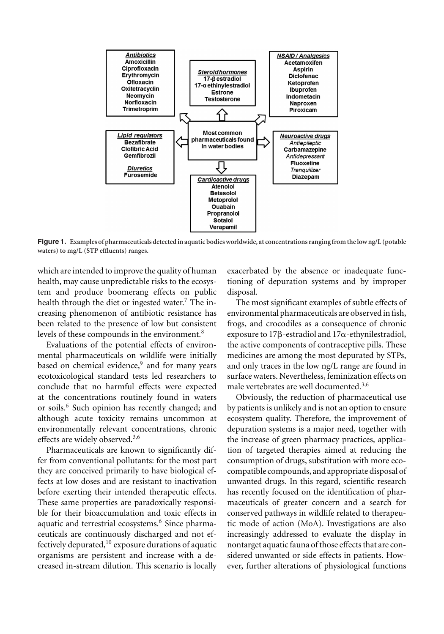

**Figure 1. Examples of pharmaceuticals detected in aquatic bodies worldwide, at concentrations ranging from the low ng/L (potable waters) to mg/L (STP effluents) ranges.**

which are intended to improve the quality of human health, may cause unpredictable risks to the ecosystem and produce boomerang effects on public health through the diet or ingested water.<sup>7</sup> The increasing phenomenon of antibiotic resistance has been related to the presence of low but consistent levels of these compounds in the environment.<sup>8</sup>

Evaluations of the potential effects of environmental pharmaceuticals on wildlife were initially based on chemical evidence,<sup>9</sup> and for many years ecotoxicological standard tests led researchers to conclude that no harmful effects were expected at the concentrations routinely found in waters or soils.<sup>6</sup> Such opinion has recently changed; and although acute toxicity remains uncommon at environmentally relevant concentrations, chronic effects are widely observed.3,6

Pharmaceuticals are known to significantly differ from conventional pollutants: for the most part they are conceived primarily to have biological effects at low doses and are resistant to inactivation before exerting their intended therapeutic effects. These same properties are paradoxically responsible for their bioaccumulation and toxic effects in aquatic and terrestrial ecosystems.<sup>6</sup> Since pharmaceuticals are continuously discharged and not effectively depurated, $10$  exposure durations of aquatic organisms are persistent and increase with a decreased in-stream dilution. This scenario is locally exacerbated by the absence or inadequate functioning of depuration systems and by improper disposal.

The most significant examples of subtle effects of environmental pharmaceuticals are observed in fish, frogs, and crocodiles as a consequence of chronic exposure to  $17\beta$ -estradiol and  $17\alpha$ -ethynilestradiol, the active components of contraceptive pills. These medicines are among the most depurated by STPs, and only traces in the low ng/L range are found in surface waters. Nevertheless, feminization effects on male vertebrates are well documented.<sup>3,6</sup>

Obviously, the reduction of pharmaceutical use by patients is unlikely and is not an option to ensure ecosystem quality. Therefore, the improvement of depuration systems is a major need, together with the increase of green pharmacy practices, application of targeted therapies aimed at reducing the consumption of drugs, substitution with more ecocompatible compounds, and appropriate disposal of unwanted drugs. In this regard, scientific research has recently focused on the identification of pharmaceuticals of greater concern and a search for conserved pathways in wildlife related to therapeutic mode of action (MoA). Investigations are also increasingly addressed to evaluate the display in nontarget aquatic fauna of those effects that are considered unwanted or side effects in patients. However, further alterations of physiological functions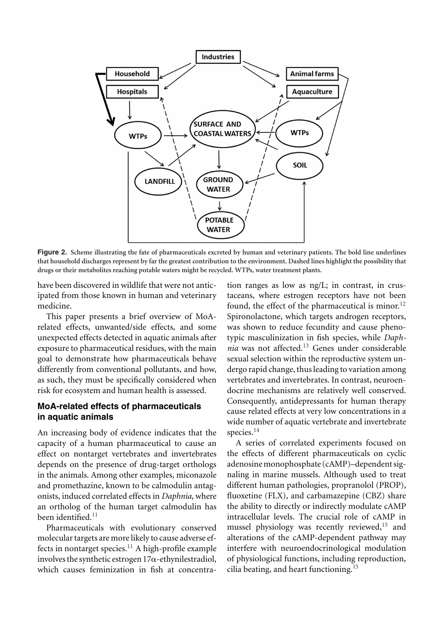

**Figure 2. Scheme illustrating the fate of pharmaceuticals excreted by human and veterinary patients. The bold line underlines that household discharges represent by far the greatest contribution to the environment. Dashed lines highlight the possibility that drugs or their metabolites reaching potable waters might be recycled. WTPs, water treatment plants.**

have been discovered in wildlife that were not anticipated from those known in human and veterinary medicine.

This paper presents a brief overview of MoArelated effects, unwanted/side effects, and some unexpected effects detected in aquatic animals after exposure to pharmaceutical residues, with the main goal to demonstrate how pharmaceuticals behave differently from conventional pollutants, and how, as such, they must be specifically considered when risk for ecosystem and human health is assessed.

#### **MoA-related effects of pharmaceuticals in aquatic animals**

An increasing body of evidence indicates that the capacity of a human pharmaceutical to cause an effect on nontarget vertebrates and invertebrates depends on the presence of drug-target orthologs in the animals. Among other examples, miconazole and promethazine, known to be calmodulin antagonists, induced correlated effects in *Daphnia*, where an ortholog of the human target calmodulin has been identified.<sup>11</sup>

Pharmaceuticals with evolutionary conserved molecular targets are more likely to cause adverse effects in nontarget species.<sup>11</sup> A high-profile example involves the synthetic estrogen  $17\alpha$ -ethynilestradiol, which causes feminization in fish at concentration ranges as low as ng/L; in contrast, in crustaceans, where estrogen receptors have not been found, the effect of the pharmaceutical is minor.<sup>12</sup> Spironolactone, which targets androgen receptors, was shown to reduce fecundity and cause phenotypic masculinization in fish species, while *Daphnia* was not affected.<sup>13</sup> Genes under considerable sexual selection within the reproductive system undergo rapid change, thus leading to variation among vertebrates and invertebrates. In contrast, neuroendocrine mechanisms are relatively well conserved. Consequently, antidepressants for human therapy cause related effects at very low concentrations in a wide number of aquatic vertebrate and invertebrate species.<sup>14</sup>

A series of correlated experiments focused on the effects of different pharmaceuticals on cyclic adenosinemonophosphate (cAMP)–dependent signaling in marine mussels. Although used to treat different human pathologies, propranolol (PROP), fluoxetine (FLX), and carbamazepine (CBZ) share the ability to directly or indirectly modulate cAMP intracellular levels. The crucial role of cAMP in mussel physiology was recently reviewed,<sup>15</sup> and alterations of the cAMP-dependent pathway may interfere with neuroendocrinological modulation of physiological functions, including reproduction, cilia beating, and heart functioning.<sup>15</sup>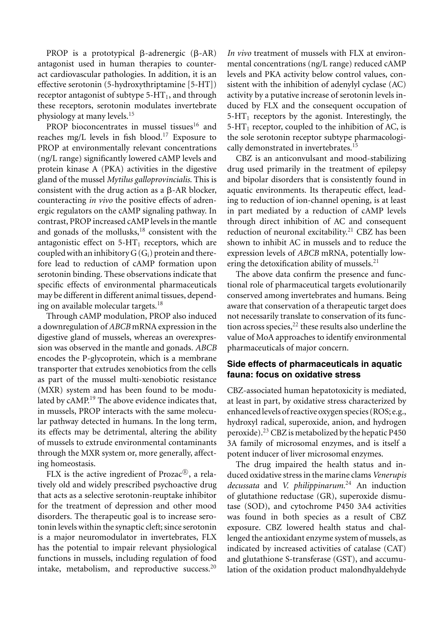PROP is a prototypical  $\beta$ -adrenergic ( $\beta$ -AR) antagonist used in human therapies to counteract cardiovascular pathologies. In addition, it is an effective serotonin (5-hydroxythriptamine [5-HT]) receptor antagonist of subtype  $5-HT_1$ , and through these receptors, serotonin modulates invertebrate physiology at many levels.<sup>15</sup>

PROP bioconcentrates in mussel tissues<sup>16</sup> and reaches mg/L levels in fish blood.17 Exposure to PROP at environmentally relevant concentrations (ng/L range) significantly lowered cAMP levels and protein kinase A (PKA) activities in the digestive gland of the mussel *Mytilus galloprovincialis*. This is consistent with the drug action as a  $\beta$ -AR blocker, counteracting *in vivo* the positive effects of adrenergic regulators on the cAMP signaling pathway. In contrast, PROP increased cAMP levels in the mantle and gonads of the mollusks,<sup>18</sup> consistent with the antagonistic effect on  $5-HT_1$  receptors, which are coupled with an inhibitory  $G(G_i)$  protein and therefore lead to reduction of cAMP formation upon serotonin binding. These observations indicate that specific effects of environmental pharmaceuticals may be different in different animal tissues, depending on available molecular targets.<sup>18</sup>

Through cAMP modulation, PROP also induced a downregulation of *ABCB* mRNA expression in the digestive gland of mussels, whereas an overexpression was observed in the mantle and gonads. *ABCB* encodes the P-glycoprotein, which is a membrane transporter that extrudes xenobiotics from the cells as part of the mussel multi-xenobiotic resistance (MXR) system and has been found to be modulated by cAMP.<sup>19</sup> The above evidence indicates that, in mussels, PROP interacts with the same molecular pathway detected in humans. In the long term, its effects may be detrimental, altering the ability of mussels to extrude environmental contaminants through the MXR system or, more generally, affecting homeostasis.

FLX is the active ingredient of Prozac $\mathbb{R}$ , a relatively old and widely prescribed psychoactive drug that acts as a selective serotonin-reuptake inhibitor for the treatment of depression and other mood disorders. The therapeutic goal is to increase serotonin levels within the synaptic cleft; since serotonin is a major neuromodulator in invertebrates, FLX has the potential to impair relevant physiological functions in mussels, including regulation of food intake, metabolism, and reproductive success.<sup>20</sup>

*In vivo* treatment of mussels with FLX at environmental concentrations (ng/L range) reduced cAMP levels and PKA activity below control values, consistent with the inhibition of adenylyl cyclase (AC) activity by a putative increase of serotonin levels induced by FLX and the consequent occupation of  $5-HT_1$  receptors by the agonist. Interestingly, the  $5-HT_1$  receptor, coupled to the inhibition of AC, is the sole serotonin receptor subtype pharmacologically demonstrated in invertebrates.<sup>15</sup>

CBZ is an anticonvulsant and mood-stabilizing drug used primarily in the treatment of epilepsy and bipolar disorders that is consistently found in aquatic environments. Its therapeutic effect, leading to reduction of ion-channel opening, is at least in part mediated by a reduction of cAMP levels through direct inhibition of AC and consequent reduction of neuronal excitability.<sup>21</sup> CBZ has been shown to inhibit AC in mussels and to reduce the expression levels of *ABCB* mRNA, potentially lowering the detoxification ability of mussels. $^{21}$ 

The above data confirm the presence and functional role of pharmaceutical targets evolutionarily conserved among invertebrates and humans. Being aware that conservation of a therapeutic target does not necessarily translate to conservation of its function across species,  $22$  these results also underline the value of MoA approaches to identify environmental pharmaceuticals of major concern.

### **Side effects of pharmaceuticals in aquatic fauna: focus on oxidative stress**

CBZ-associated human hepatotoxicity is mediated, at least in part, by oxidative stress characterized by enhanced levels of reactive oxygen species (ROS; e.g., hydroxyl radical, superoxide, anion, and hydrogen peroxide).<sup>23</sup> CBZ is metabolized by the hepatic P450 3A family of microsomal enzymes, and is itself a potent inducer of liver microsomal enzymes.

The drug impaired the health status and induced oxidative stress in the marine clams *Venerupis decussata* and *V. philippinarum.*<sup>24</sup> An induction of glutathione reductase (GR), superoxide dismutase (SOD), and cytochrome P450 3A4 activities was found in both species as a result of CBZ exposure. CBZ lowered health status and challenged the antioxidant enzyme system of mussels, as indicated by increased activities of catalase (CAT) and glutathione S-transferase (GST), and accumulation of the oxidation product malondhyaldehyde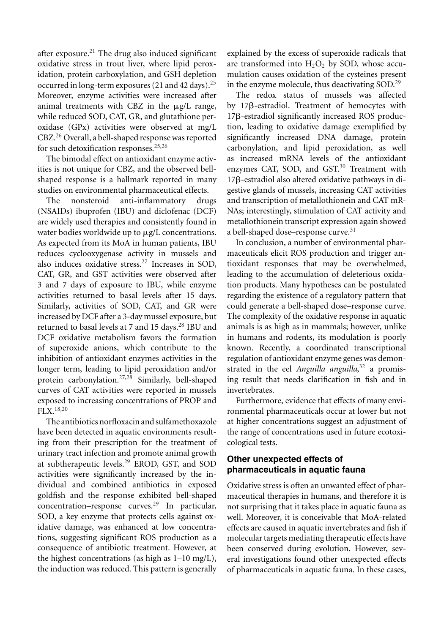after exposure. $^{21}$  The drug also induced significant oxidative stress in trout liver, where lipid peroxidation, protein carboxylation, and GSH depletion occurred in long-term exposures(21 and 42 days).<sup>25</sup> Moreover, enzyme activities were increased after animal treatments with CBZ in the  $\mu$ g/L range, while reduced SOD, CAT, GR, and glutathione peroxidase (GPx) activities were observed at mg/L CBZ.<sup>26</sup> Overall, a bell-shaped response was reported for such detoxification responses. $25,26$ 

The bimodal effect on antioxidant enzyme activities is not unique for CBZ, and the observed bellshaped response is a hallmark reported in many studies on environmental pharmaceutical effects.

The nonsteroid anti-inflammatory drugs (NSAIDs) ibuprofen (IBU) and diclofenac (DCF) are widely used therapies and consistently found in water bodies worldwide up to  $\mu$ g/L concentrations. As expected from its MoA in human patients, IBU reduces cyclooxygenase activity in mussels and also induces oxidative stress.<sup>27</sup> Increases in SOD, CAT, GR, and GST activities were observed after 3 and 7 days of exposure to IBU, while enzyme activities returned to basal levels after 15 days. Similarly, activities of SOD, CAT, and GR were increased by DCF after a 3-day mussel exposure, but returned to basal levels at 7 and 15 days.<sup>28</sup> IBU and DCF oxidative metabolism favors the formation of superoxide anions, which contribute to the inhibition of antioxidant enzymes activities in the longer term, leading to lipid peroxidation and/or protein carbonylation.27,28 Similarly, bell-shaped curves of CAT activities were reported in mussels exposed to increasing concentrations of PROP and FLX.18,20

The antibiotics norfloxacin and sulfamethoxazole have been detected in aquatic environments resulting from their prescription for the treatment of urinary tract infection and promote animal growth at subtherapeutic levels.<sup>29</sup> EROD, GST, and SOD activities were significantly increased by the individual and combined antibiotics in exposed goldfish and the response exhibited bell-shaped  $concentration$ –response curves.<sup>29</sup> In particular, SOD, a key enzyme that protects cells against oxidative damage, was enhanced at low concentrations, suggesting significant ROS production as a consequence of antibiotic treatment. However, at the highest concentrations (as high as 1–10 mg/L), the induction was reduced. This pattern is generally explained by the excess of superoxide radicals that are transformed into  $H_2O_2$  by SOD, whose accumulation causes oxidation of the cysteines present in the enzyme molecule, thus deactivating SOD.<sup>29</sup>

The redox status of mussels was affected by 17<sub>B</sub>-estradiol. Treatment of hemocytes with 17ß-estradiol significantly increased ROS production, leading to oxidative damage exemplified by significantly increased DNA damage, protein carbonylation, and lipid peroxidation, as well as increased mRNA levels of the antioxidant enzymes CAT, SOD, and GST.<sup>30</sup> Treatment with 17ß-estradiol also altered oxidative pathways in digestive glands of mussels, increasing CAT activities and transcription of metallothionein and CAT mR-NAs; interestingly, stimulation of CAT activity and metallothionein transcript expression again showed a bell-shaped dose-response curve.<sup>31</sup>

In conclusion, a number of environmental pharmaceuticals elicit ROS production and trigger antioxidant responses that may be overwhelmed, leading to the accumulation of deleterious oxidation products. Many hypotheses can be postulated regarding the existence of a regulatory pattern that could generate a bell-shaped dose–response curve. The complexity of the oxidative response in aquatic animals is as high as in mammals; however, unlike in humans and rodents, its modulation is poorly known. Recently, a coordinated transcriptional regulation of antioxidant enzyme genes was demonstrated in the eel *Anguilla anguilla*, <sup>32</sup> a promising result that needs clarification in fish and in invertebrates.

Furthermore, evidence that effects of many environmental pharmaceuticals occur at lower but not at higher concentrations suggest an adjustment of the range of concentrations used in future ecotoxicological tests.

### **Other unexpected effects of pharmaceuticals in aquatic fauna**

Oxidative stress is often an unwanted effect of pharmaceutical therapies in humans, and therefore it is not surprising that it takes place in aquatic fauna as well. Moreover, it is conceivable that MoA-related effects are caused in aquatic invertebrates and fish if molecular targets mediating therapeutic effects have been conserved during evolution. However, several investigations found other unexpected effects of pharmaceuticals in aquatic fauna. In these cases,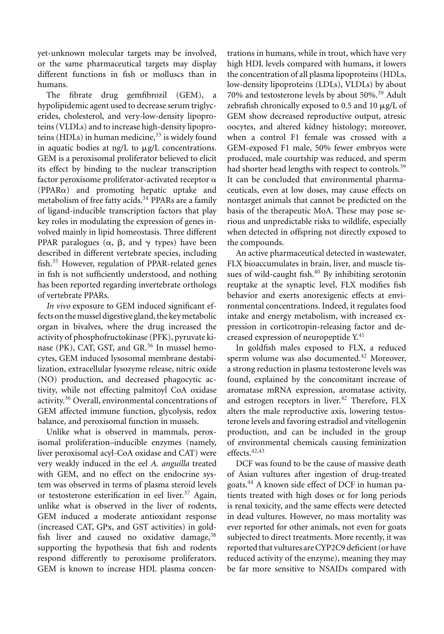yet-unknown molecular targets may be involved, or the same pharmaceutical targets may display different functions in fish or molluscs than in humans.

The fibrate drug gemfibrozil (GEM), a hypolipidemic agent used to decrease serum triglycerides, cholesterol, and very-low-density lipoproteins (VLDLs) and to increase high-density lipoproteins (HDLs) in human medicine, $33$  is widely found in aquatic bodies at  $\frac{ng}{L}$  to  $\frac{\mu g}{L}$  concentrations. GEM is a peroxisomal proliferator believed to elicit its effect by binding to the nuclear transcription factor peroxisome proliferator-activated receptor  $\alpha$  $(PPAR\alpha)$  and promoting hepatic uptake and metabolism of free fatty acids.<sup>34</sup> PPARs are a family of ligand-inducible transcription factors that play key roles in modulating the expression of genes involved mainly in lipid homeostasis. Three different PPAR paralogues ( $\alpha$ ,  $\beta$ , and  $\gamma$  types) have been described in different vertebrate species, including fish.<sup>35</sup> However, regulation of PPAR-related genes in fish is not sufficiently understood, and nothing has been reported regarding invertebrate orthologs of vertebrate PPARs.

*In vivo* exposure to GEM induced significant effects on themussel digestive gland, the keymetabolic organ in bivalves, where the drug increased the activity of phosphofructokinase (PFK), pyruvate kinase (PK), CAT, GST, and GR. $36$  In mussel hemocytes, GEM induced lysosomal membrane destabilization, extracellular lysozyme release, nitric oxide (NO) production, and decreased phagocytic activity, while not effecting palmitoyl CoA oxidase activity.<sup>36</sup> Overall, environmental concentrations of GEM affected immune function, glycolysis, redox balance, and peroxisomal function in mussels.

Unlike what is observed in mammals, peroxisomal proliferation–inducible enzymes (namely, liver peroxisomal acyl-CoA oxidase and CAT) were very weakly induced in the eel *A. anguilla* treated with GEM, and no effect on the endocrine system was observed in terms of plasma steroid levels or testosterone esterification in eel liver.<sup>37</sup> Again, unlike what is observed in the liver of rodents, GEM induced a moderate antioxidant response (increased CAT, GPx, and GST activities) in goldfish liver and caused no oxidative damage,  $38$ supporting the hypothesis that fish and rodents respond differently to peroxisome proliferators. GEM is known to increase HDL plasma concentrations in humans, while in trout, which have very high HDL levels compared with humans, it lowers the concentration of all plasma lipoproteins (HDLs, low-density lipoproteins (LDLs), VLDLs) by about 70% and testosterone levels by about 50%.<sup>39</sup> Adult zebrafish chronically exposed to 0.5 and 10  $\mu$ g/L of GEM show decreased reproductive output, atresic oocytes, and altered kidney histology; moreover, when a control F1 female was crossed with a GEM-exposed F1 male, 50% fewer embryos were produced, male courtship was reduced, and sperm had shorter head lengths with respect to controls.<sup>39</sup> It can be concluded that environmental pharmaceuticals, even at low doses, may cause effects on nontarget animals that cannot be predicted on the basis of the therapeutic MoA. These may pose serious and unpredictable risks to wildlife, especially when detected in offspring not directly exposed to the compounds.

An active pharmaceutical detected in wastewater, FLX bioaccumulates in brain, liver, and muscle tissues of wild-caught fish. $40$  By inhibiting serotonin reuptake at the synaptic level, FLX modifies fish behavior and exerts anorexigenic effects at environmental concentrations. Indeed, it regulates food intake and energy metabolism, with increased expression in corticotropin-releasing factor and decreased expression of neuropeptide Y.<sup>41</sup>

In goldfish males exposed to FLX, a reduced sperm volume was also documented.<sup>42</sup> Moreover, a strong reduction in plasma testosterone levels was found, explained by the concomitant increase of aromatase mRNA expression, aromatase activity, and estrogen receptors in liver. $42$  Therefore, FLX alters the male reproductive axis, lowering testosterone levels and favoring estradiol and vitellogenin production, and can be included in the group of environmental chemicals causing feminization effects. $42,43$ 

DCF was found to be the cause of massive death of Asian vultures after ingestion of drug-treated goats.<sup>44</sup> A known side effect of DCF in human patients treated with high doses or for long periods is renal toxicity, and the same effects were detected in dead vultures. However, no mass mortality was ever reported for other animals, not even for goats subjected to direct treatments. More recently, it was reported that vultures are CYP2C9 deficient (or have reduced activity of the enzyme), meaning they may be far more sensitive to NSAIDs compared with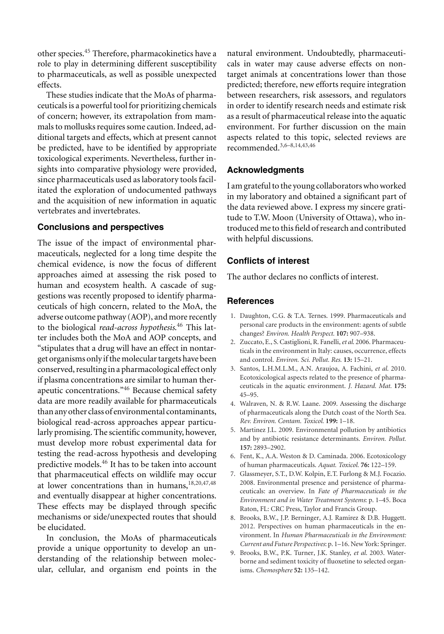other species.<sup>45</sup> Therefore, pharmacokinetics have a role to play in determining different susceptibility to pharmaceuticals, as well as possible unexpected effects.

These studies indicate that the MoAs of pharmaceuticalsis a powerful tool for prioritizing chemicals of concern; however, its extrapolation from mammals to mollusks requires some caution. Indeed, additional targets and effects, which at present cannot be predicted, have to be identified by appropriate toxicological experiments. Nevertheless, further insights into comparative physiology were provided, since pharmaceuticals used as laboratory tools facilitated the exploration of undocumented pathways and the acquisition of new information in aquatic vertebrates and invertebrates.

### **Conclusions and perspectives**

The issue of the impact of environmental pharmaceuticals, neglected for a long time despite the chemical evidence, is now the focus of different approaches aimed at assessing the risk posed to human and ecosystem health. A cascade of suggestions was recently proposed to identify pharmaceuticals of high concern, related to the MoA, the adverse outcome pathway (AOP), and more recently to the biological *read-across hypothesis*. <sup>46</sup> This latter includes both the MoA and AOP concepts, and "stipulates that a drug will have an effect in nontarget organisms only if the molecular targets have been conserved, resulting in a pharmacological effect only if plasma concentrations are similar to human therapeutic concentrations."<sup>46</sup> Because chemical safety data are more readily available for pharmaceuticals than any other class of environmental contaminants, biological read-across approaches appear particularly promising. The scientific community, however, must develop more robust experimental data for testing the read-across hypothesis and developing predictive models.<sup>46</sup> It has to be taken into account that pharmaceutical effects on wildlife may occur at lower concentrations than in humans,<sup>18,20,47,48</sup> and eventually disappear at higher concentrations. These effects may be displayed through specific mechanisms or side/unexpected routes that should be elucidated.

In conclusion, the MoAs of pharmaceuticals provide a unique opportunity to develop an understanding of the relationship between molecular, cellular, and organism end points in the natural environment. Undoubtedly, pharmaceuticals in water may cause adverse effects on nontarget animals at concentrations lower than those predicted; therefore, new efforts require integration between researchers, risk assessors, and regulators in order to identify research needs and estimate risk as a result of pharmaceutical release into the aquatic environment. For further discussion on the main aspects related to this topic, selected reviews are recommended.3,6–8,14,43,46

### **Acknowledgments**

I am grateful to the young collaborators who worked in my laboratory and obtained a significant part of the data reviewed above. I express my sincere gratitude to T.W. Moon (University of Ottawa), who introduced me to this field of research and contributed with helpful discussions.

## **Conflicts of interest**

The author declares no conflicts of interest.

### **References**

- 1. Daughton, C.G. & T.A. Ternes. 1999. Pharmaceuticals and personal care products in the environment: agents of subtle changes? *Environ. Health Perspect.* **107:** 907–938.
- 2. Zuccato, E., S. Castiglioni, R. Fanelli,*et al*. 2006. Pharmaceuticals in the environment in Italy: causes, occurrence, effects and control. *Environ. Sci. Pollut. Res.* **13:** 15–21.
- 3. Santos, L.H.M.L.M., A.N. Araujoa, A. Fachini, *et al*. 2010. Ecotoxicological aspects related to the presence of pharmaceuticals in the aquatic environment. *J. Hazard. Mat.* **175:** 45–95.
- 4. Walraven, N. & R.W. Laane. 2009. Assessing the discharge of pharmaceuticals along the Dutch coast of the North Sea. *Rev. Environ. Contam. Toxicol.* **199:** 1–18.
- 5. Martinez J.L. 2009. Environmental pollution by antibiotics and by antibiotic resistance determinants. *Environ. Pollut.* **157:** 2893–2902.
- 6. Fent, K., A.A. Weston & D. Caminada. 2006. Ecotoxicology of human pharmaceuticals. *Aquat. Toxicol.* **76:** 122–159.
- 7. Glassmeyer, S.T., D.W. Kolpin, E.T. Furlong & M.J. Focazio. 2008. Environmental presence and persistence of pharmaceuticals: an overview. In *Fate of Pharmaceuticals in the Environment and in Water Treatment Systems*: p. 1–45. Boca Raton, FL: CRC Press, Taylor and Francis Group.
- 8. Brooks, B.W., J.P. Berninger, A.J. Ramirez & D.B. Huggett. 2012. Perspectives on human pharmaceuticals in the environment. In *Human Pharmaceuticals in the Environment: Current and Future Perspectives*: p. 1–16. New York: Springer.
- 9. Brooks, B.W., P.K. Turner, J.K. Stanley, *et al*. 2003. Waterborne and sediment toxicity of fluoxetine to selected organisms. *Chemosphere* **52:** 135–142.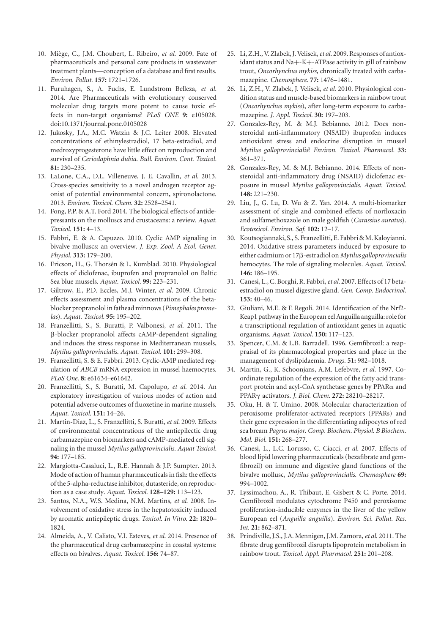- 10. Miege, C., J.M. Choubert, L. Ribeiro, ` *et al*. 2009. Fate of pharmaceuticals and personal care products in wastewater treatment plants—conception of a database and first results. *Environ. Pollut.* **157:** 1721–1726.
- 11. Furuhagen, S., A. Fuchs, E. Lundstrom Belleza, *et al*. 2014. Are Pharmaceuticals with evolutionary conserved molecular drug targets more potent to cause toxic effects in non-target organisms? *PLoS ONE* **9:** e105028. doi:10.1371/journal.pone.0105028
- 12. Jukosky, J.A., M.C. Watzin & J.C. Leiter 2008. Elevated concentrations of ethinylestradiol, 17 beta-estradiol, and medroxyprogesterone have little effect on reproduction and survival of *Ceriodaphnia dubia*. *Bull. Environ. Cont. Toxicol.* **81:** 230–235.
- 13. LaLone, C.A., D.L. Villeneuve, J. E. Cavallin, *et al*. 2013. Cross-species sensitivity to a novel androgen receptor agonist of potential environmental concern, spironolactone. 2013. *Environ. Toxicol. Chem.* **32:** 2528–2541.
- 14. Fong, P.P. & A.T. Ford 2014. The biological effects of antidepressants on the molluscs and crustaceans: a review. *Aquat. Toxicol.* **151:** 4–13.
- 15. Fabbri, E. & A. Capuzzo. 2010. Cyclic AMP signaling in bivalve molluscs: an overview. *J. Exp. Zool. A Ecol. Genet. Physiol.* **313:** 179–200.
- 16. Ericson, H., G. Thorsén & L. Kumblad. 2010. Physiological effects of diclofenac, ibuprofen and propranolol on Baltic Sea blue mussels. *Aquat. Toxicol.* **99:** 223–231.
- 17. Giltrow, E., P.D. Eccles, M.J. Winter, *et al*. 2009. Chronic effects assessment and plasma concentrations of the betablocker propranolol infathead minnows (*Pimephales promelas*). *Aquat. Toxicol.* **95:** 195–202.
- 18. Franzellitti, S., S. Buratti, P. Valbonesi, *et al*. 2011. The --blocker propranolol affects cAMP-dependent signaling and induces the stress response in Mediterranean mussels, *Mytilus galloprovincialis*. *Aquat. Toxicol.* **101:** 299–308.
- 19. Franzellitti, S. & E. Fabbri. 2013. Cyclic-AMP mediated regulation of *ABCB* mRNA expression in mussel haemocytes. *PLoS One.* **8:** e61634–e61642.
- 20. Franzellitti, S., S. Buratti, M. Capolupo, *et al*. 2014. An exploratory investigation of various modes of action and potential adverse outcomes of fluoxetine in marine mussels. *Aquat. Toxicol.* **151:** 14–26.
- 21. Martin-Diaz, L., S. Franzellitti, S. Buratti, *et al*. 2009. Effects of environmental concentrations of the antiepilectic drug carbamazepine on biomarkers and cAMP-mediated cell signaling in the mussel *Mytilus galloprovincialis*. *Aquat Toxicol.* **94:** 177–185.
- 22. Margiotta-Casaluci, L., R.E. Hannah & J.P. Sumpter. 2013. Mode of action of human pharmaceuticals in fish: the effects of the 5-alpha-reductase inhibitor, dutasteride, on reproduction as a case study. *Aquat. Toxicol.* **128–129:** 113–123.
- 23. Santos, N.A., W.S. Medina, N.M. Martins, *et al*. 2008. Involvement of oxidative stress in the hepatotoxicity induced by aromatic antiepileptic drugs. *Toxicol. In Vitro.* **22:** 1820– 1824.
- 24. Almeida, A., V. Calisto, V.I. Esteves, *et al*. 2014. Presence of the pharmaceutical drug carbamazepine in coastal systems: effects on bivalves. *Aquat. Toxicol.* **156:** 74–87.
- 25. Li, Z.H., V. Zlabek, J. Velisek,*et al*. 2009. Responses of antioxidant status and Na+-K+-ATPase activity in gill of rainbow trout, *Oncorhynchus mykiss*, chronically treated with carbamazepine. *Chemosphere.* **77:** 1476–1481.
- 26. Li, Z.H., V. Zlabek, J. Velisek, *et al*. 2010. Physiological condition status and muscle-based biomarkers in rainbow trout (*Oncorhynchus mykiss*), after long-term exposure to carbamazepine. *J. Appl. Toxicol.* **30:** 197–203.
- 27. Gonzalez-Rey, M. & M.J. Bebianno. 2012. Does nonsteroidal anti-inflammatory (NSAID) ibuprofen induces antioxidant stress and endocrine disruption in mussel *Mytilus galloprovincialis*? *Environ. Toxicol. Pharmacol.* **33:** 361–371.
- 28. Gonzalez-Rey, M. & M.J. Bebianno. 2014. Effects of nonsteroidal anti-inflammatory drug (NSAID) diclofenac exposure in mussel *Mytilus galloprovincialis*. *Aquat. Toxicol.* **148:** 221–230.
- 29. Liu, J., G. Lu, D. Wu & Z. Yan. 2014. A multi-biomarker assessment of single and combined effects of norfloxacin and sulfamethoxazole on male goldfish (*Carassius auratus*). *Ecotoxicol. Environ. Saf.* **102:** 12–17.
- 30. Koutsogiannaki, S., S. Franzellitti, E. Fabbri & M. Kaloyianni. 2014. Oxidative stress parameters induced by exposure to either cadmium or 17<sub>8</sub>-estradiol on *Mytilus galloprovincialis* hemocytes. The role of signaling molecules. *Aquat. Toxicol.* **146:** 186–195.
- 31. Canesi, L., C. Borghi, R. Fabbri,*et al*. 2007. Effects of 17 betaestradiol on mussel digestive gland. *Gen. Comp. Endocrinol.* **153:** 40–46.
- 32. Giuliani, M.E. & F. Regoli. 2014. Identification of the Nrf2- Keap1 pathway in the European eel Anguilla anguilla: rolefor a transcriptional regulation of antioxidant genes in aquatic organisms. *Aquat. Toxicol.* **150:** 117–123.
- 33. Spencer, C.M. & L.B. Barradell. 1996. Gemfibrozil: a reappraisal of its pharmacological properties and place in the management of dyslipidaemia. *Drugs.* **51:** 982–1018.
- 34. Martin, G., K. Schoonjans, A.M. Lefebvre, *et al*. 1997. Coordinate regulation of the expression of the fatty acid transport protein and acyl-CoA synthetase genes by  $PPAR\alpha$  and PPAR activators. *J. Biol. Chem.* **272:** 28210–28217.
- 35. Oku, H. & T. Umino. 2008. Molecular characterization of peroxisome proliferator-activated receptors (PPARs) and their gene expression in the differentiating adipocytes of red sea bream *Pagrus major*. *Comp. Biochem. Physiol. B Biochem. Mol. Biol.* **151:** 268–277.
- 36. Canesi, L., L.C. Lorusso, C. Ciacci, *et al*. 2007. Effects of blood lipid lowering pharmaceuticals (bezafibrate and gemfibrozil) on immune and digestive gland functions of the bivalve mollusc, *Mytilus galloprovincialis*. *Chemosphere* **69:** 994–1002.
- 37. Lyssimachou, A., R. Thibaut, E. Gisbert & C. Porte. 2014. Gemfibrozil modulates cytochrome P450 and peroxisome proliferation-inducible enzymes in the liver of the yellow European eel (*Anguilla anguilla*). *Environ. Sci. Pollut. Res. Int.* **21:** 862–871.
- 38. Prindiville, J.S., J.A. Mennigen, J.M. Zamora,*et al*. 2011. The fibrate drug gemfibrozil disrupts lipoprotein metabolism in rainbow trout. *Toxicol. Appl. Pharmacol.* **251:** 201–208.